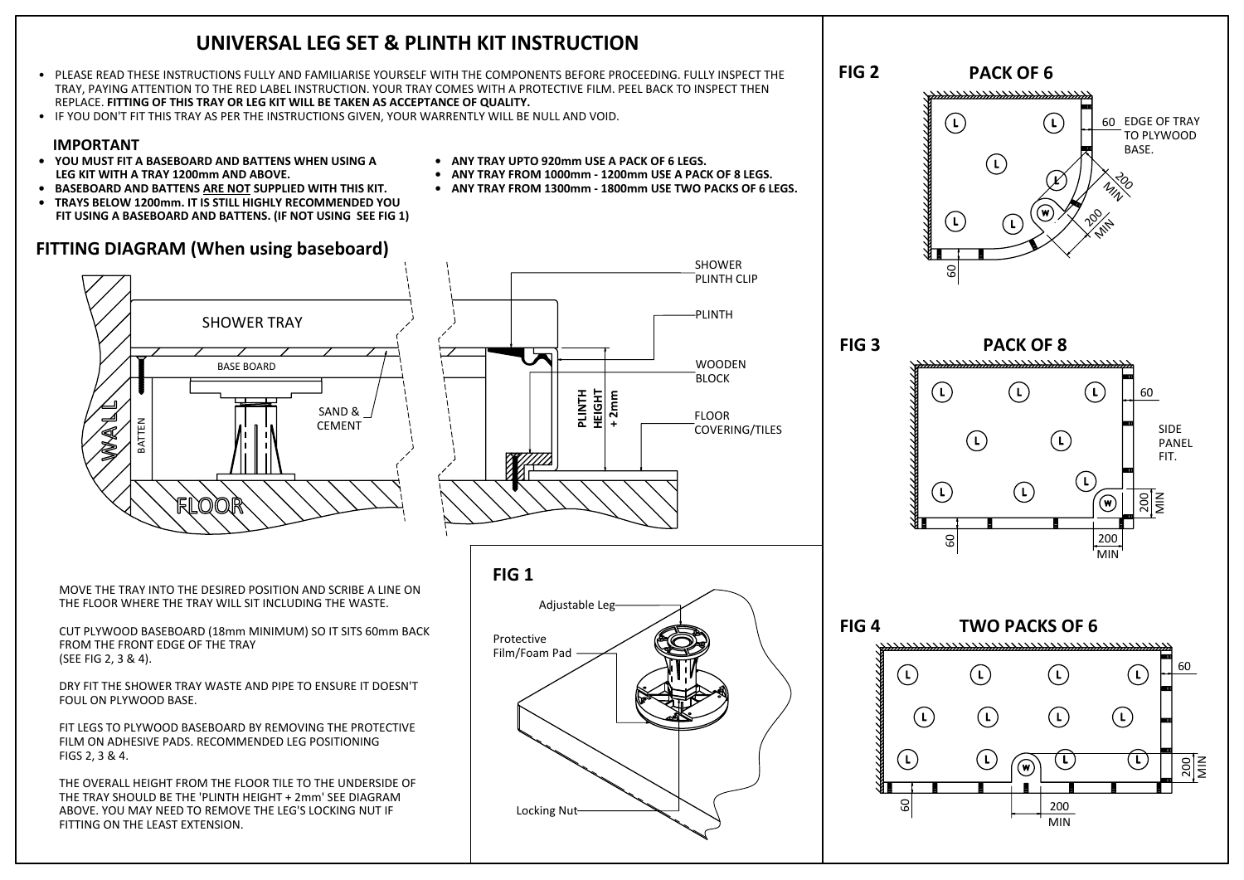## **UNIVERSAL LEG SET & PLINTH KIT INSTRUCTION**

- PLEASE READ THESE INSTRUCTIONS FULLY AND FAMILIARISE YOURSELF WITH THE COMPONENTS BEFORE PROCEEDING. FULLY INSPECT THE TRAY, PAYING ATTENTION TO THE RED LABEL INSTRUCTION. YOUR TRAY COMES WITH A PROTECTIVE FILM. PEEL BACK TO INSPECT THEN REPLACE. **FITTING OF THIS TRAY OR LEG KIT WILL BE TAKEN AS ACCEPTANCE OF QUALITY.**
- IF YOU DON'T FIT THIS TRAY AS PER THE INSTRUCTIONS GIVEN, YOUR WARRENTLY WILL BE NULL AND VOID.

## **IMPORTANT**

- **• YOU MUST FIT A BASEBOARD AND BATTENS WHEN USING A LEG KIT WITH A TRAY 1200mm AND ABOVE.**
- **• BASEBOARD AND BATTENS ARE NOT SUPPLIED WITH THIS KIT.**
- **• TRAYS BELOW 1200mm. IT IS STILL HIGHLY RECOMMENDED YOU FIT USING A BASEBOARD AND BATTENS. (IF NOT USING SEE FIG 1)**

## **FITTING DIAGRAM (When using baseboard)**

- **• ANY TRAY UPTO 920mm USE A PACK OF 6 LEGS.**
- **• ANY TRAY FROM 1000mm 1200mm USE A PACK OF 8 LEGS.**
- **• ANY TRAY FROM 1300mm 1800mm USE TWO PACKS OF 6 LEGS.**

SHOWER PLINTH CLIP **FIG 2**



MOVE THE TRAY INTO THE DESIRED POSITION AND SCRIBE A LINE ON THE FLOOR WHERE THE TRAY WILL SIT INCLUDING THE WASTE.

CUT PLYWOOD BASEBOARD (18mm MINIMUM) SO IT SITS 60mm BACK FROM THE FRONT EDGE OF THE TRAY (SEE FIG 2, 3 & 4).

DRY FIT THE SHOWER TRAY WASTE AND PIPE TO ENSURE IT DOESN'T FOUL ON PLYWOOD BASE.

FIT LEGS TO PLYWOOD BASEBOARD BY REMOVING THE PROTECTIVE FILM ON ADHESIVE PADS. RECOMMENDED LEG POSITIONING FIGS 2, 3 & 4.

THE OVERALL HEIGHT FROM THE FLOOR TILE TO THE UNDERSIDE OF THE TRAY SHOULD BE THE 'PLINTH HEIGHT + 2mm' SEE DIAGRAM ABOVE. YOU MAY NEED TO REMOVE THE LEG'S LOCKING NUT IF FITTING ON THE LEAST EXTENSION.



**PACK OF 6**  $\left(\Gamma\right)$  $\left(\Gamma\right)$  60 EDGE OF TRAY TO PLYWOOD BASE.  $\left( \Gamma \right)$ 70 MIN 20  $\left(\overline{L}\right)$ **MIN** 60